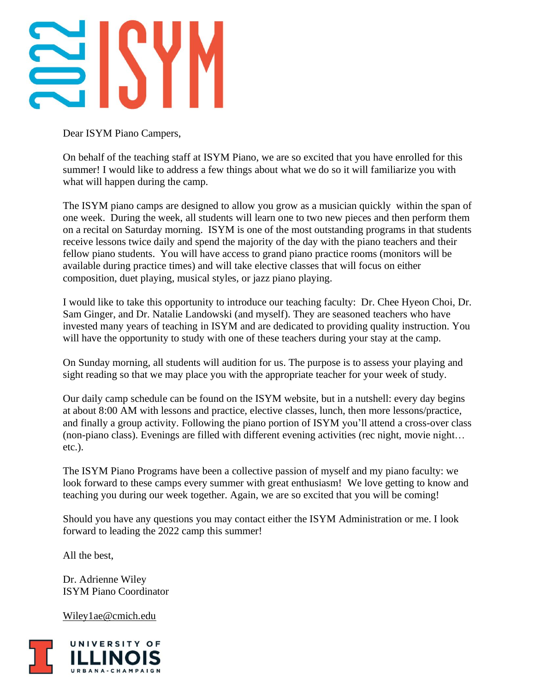Dear ISYM Piano Campers,

On behalf of the teaching staff at ISYM Piano, we are so excited that you have enrolled for this summer! I would like to address a few things about what we do so it will familiarize you with what will happen during the camp.

The ISYM piano camps are designed to allow you grow as a musician quickly within the span of one week. During the week, all students will learn one to two new pieces and then perform them on a recital on Saturday morning. ISYM is one of the most outstanding programs in that students receive lessons twice daily and spend the majority of the day with the piano teachers and their fellow piano students. You will have access to grand piano practice rooms (monitors will be available during practice times) and will take elective classes that will focus on either composition, duet playing, musical styles, or jazz piano playing.

I would like to take this opportunity to introduce our teaching faculty: Dr. Chee Hyeon Choi, Dr. Sam Ginger, and Dr. Natalie Landowski (and myself). They are seasoned teachers who have invested many years of teaching in ISYM and are dedicated to providing quality instruction. You will have the opportunity to study with one of these teachers during your stay at the camp.

On Sunday morning, all students will audition for us. The purpose is to assess your playing and sight reading so that we may place you with the appropriate teacher for your week of study.

Our daily camp schedule can be found on the ISYM website, but in a nutshell: every day begins at about 8:00 AM with lessons and practice, elective classes, lunch, then more lessons/practice, and finally a group activity. Following the piano portion of ISYM you'll attend a cross-over class (non-piano class). Evenings are filled with different evening activities (rec night, movie night… etc.).

The ISYM Piano Programs have been a collective passion of myself and my piano faculty: we look forward to these camps every summer with great enthusiasm! We love getting to know and teaching you during our week together. Again, we are so excited that you will be coming!

Should you have any questions you may contact either the ISYM Administration or me. I look forward to leading the 2022 camp this summer!

All the best,

Dr. Adrienne Wiley ISYM Piano Coordinator

[Wiley1ae@cmich.edu](mailto:Wiley1ae@cmich.edu)

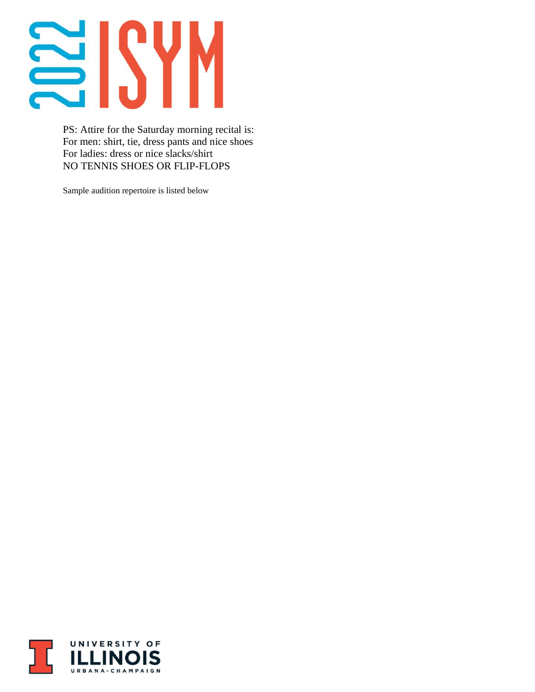## 202

PS: Attire for the Saturday morning recital is: For men: shirt, tie, dress pants and nice shoes For ladies: dress or nice slacks/shirt NO TENNIS SHOES OR FLIP-FLOPS

Sample audition repertoire is listed below